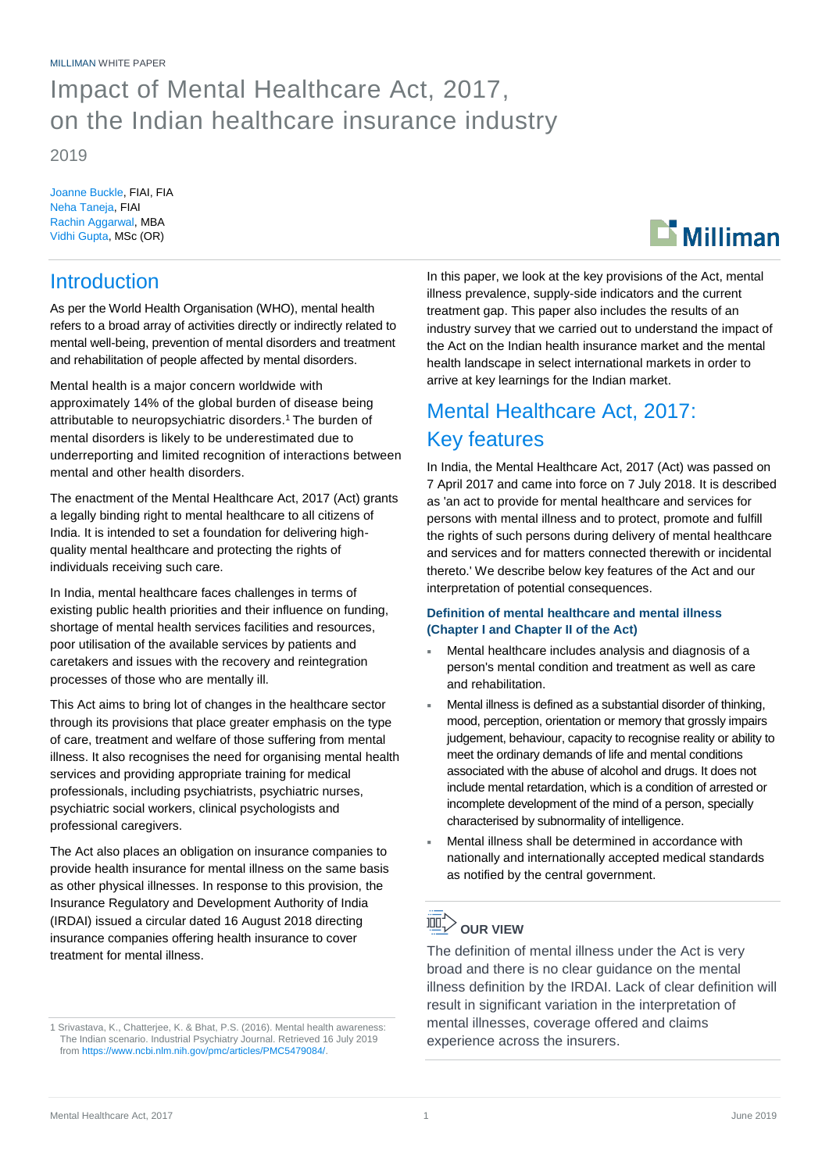## Impact of Mental Healthcare Act, 2017, on the Indian healthcare insurance industry

2019

Joanne Buckle, FIAI, FIA Neha Taneja, FIAI Rachin Aggarwal, MBA Vidhi Gupta, MSc (OR)

# $\mathbf{D}$  Milliman

### **Introduction**

As per the World Health Organisation (WHO), mental health refers to a broad array of activities directly or indirectly related to mental well-being, prevention of mental disorders and treatment and rehabilitation of people affected by mental disorders.

Mental health is a major concern worldwide with approximately 14% of the global burden of disease being attributable to neuropsychiatric disorders.<sup>1</sup> The burden of mental disorders is likely to be underestimated due to underreporting and limited recognition of interactions between mental and other health disorders.

The enactment of the Mental Healthcare Act, 2017 (Act) grants a legally binding right to mental healthcare to all citizens of India. It is intended to set a foundation for delivering highquality mental healthcare and protecting the rights of individuals receiving such care.

In India, mental healthcare faces challenges in terms of existing public health priorities and their influence on funding, shortage of mental health services facilities and resources, poor utilisation of the available services by patients and caretakers and issues with the recovery and reintegration processes of those who are mentally ill.

This Act aims to bring lot of changes in the healthcare sector through its provisions that place greater emphasis on the type of care, treatment and welfare of those suffering from mental illness. It also recognises the need for organising mental health services and providing appropriate training for medical professionals, including psychiatrists, psychiatric nurses, psychiatric social workers, clinical psychologists and professional caregivers.

The Act also places an obligation on insurance companies to provide health insurance for mental illness on the same basis as other physical illnesses. In response to this provision, the Insurance Regulatory and Development Authority of India (IRDAI) issued a circular dated 16 August 2018 directing insurance companies offering health insurance to cover treatment for mental illness.

In this paper, we look at the key provisions of the Act, mental illness prevalence, supply-side indicators and the current treatment gap. This paper also includes the results of an industry survey that we carried out to understand the impact of the Act on the Indian health insurance market and the mental health landscape in select international markets in order to arrive at key learnings for the Indian market.

### Mental Healthcare Act, 2017: Key features

In India, the Mental Healthcare Act, 2017 (Act) was passed on 7 April 2017 and came into force on 7 July 2018. It is described as 'an act to provide for mental healthcare and services for persons with mental illness and to protect, promote and fulfill the rights of such persons during delivery of mental healthcare and services and for matters connected therewith or incidental thereto.' We describe below key features of the Act and our interpretation of potential consequences.

#### **Definition of mental healthcare and mental illness (Chapter I and Chapter II of the Act)**

- Mental healthcare includes analysis and diagnosis of a person's mental condition and treatment as well as care and rehabilitation.
- Mental illness is defined as a substantial disorder of thinking, mood, perception, orientation or memory that grossly impairs judgement, behaviour, capacity to recognise reality or ability to meet the ordinary demands of life and mental conditions associated with the abuse of alcohol and drugs. It does not include mental retardation, which is a condition of arrested or incomplete development of the mind of a person, specially characterised by subnormality of intelligence.
- Mental illness shall be determined in accordance with nationally and internationally accepted medical standards as notified by the central government.

## **DUR VIEW**

The definition of mental illness under the Act is very broad and there is no clear guidance on the mental illness definition by the IRDAI. Lack of clear definition will result in significant variation in the interpretation of mental illnesses, coverage offered and claims experience across the insurers.

<sup>1</sup> Srivastava, K., Chatterjee, K. & Bhat, P.S. (2016). Mental health awareness: The Indian scenario. Industrial Psychiatry Journal. Retrieved 16 July 2019 fro[m https://www.ncbi.nlm.nih.gov/pmc/articles/PMC5479084/.](https://www.ncbi.nlm.nih.gov/pmc/articles/PMC5479084/)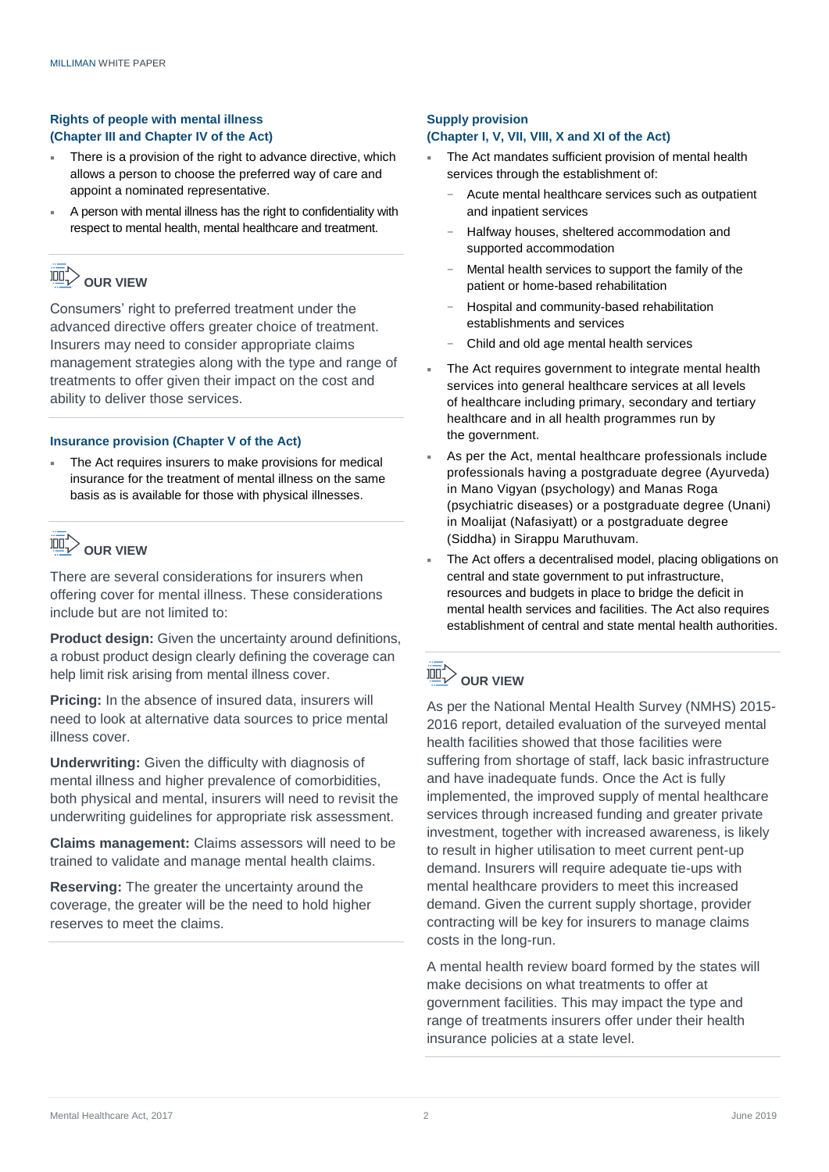#### **Rights of people with mental illness (Chapter III and Chapter IV of the Act)**

- There is a provision of the right to advance directive, which allows a person to choose the preferred way of care and appoint a nominated representative.
- A person with mental illness has the right to confidentiality with respect to mental health, mental healthcare and treatment.

## **DUR VIEW**

Consumers' right to preferred treatment under the advanced directive offers greater choice of treatment. Insurers may need to consider appropriate claims management strategies along with the type and range of treatments to offer given their impact on the cost and ability to deliver those services.

#### **Insurance provision (Chapter V of the Act)**

The Act requires insurers to make provisions for medical insurance for the treatment of mental illness on the same basis as is available for those with physical illnesses.

## **DUR VIEW**

There are several considerations for insurers when offering cover for mental illness. These considerations include but are not limited to:

**Product design:** Given the uncertainty around definitions, a robust product design clearly defining the coverage can help limit risk arising from mental illness cover.

**Pricing:** In the absence of insured data, insurers will need to look at alternative data sources to price mental illness cover.

**Underwriting:** Given the difficulty with diagnosis of mental illness and higher prevalence of comorbidities, both physical and mental, insurers will need to revisit the underwriting guidelines for appropriate risk assessment.

**Claims management:** Claims assessors will need to be trained to validate and manage mental health claims.

**Reserving:** The greater the uncertainty around the coverage, the greater will be the need to hold higher reserves to meet the claims.

#### **Supply provision (Chapter I, V, VII, VIII, X and XI of the Act)**

- The Act mandates sufficient provision of mental health services through the establishment of:
	- − Acute mental healthcare services such as outpatient and inpatient services
	- − Halfway houses, sheltered accommodation and supported accommodation
	- Mental health services to support the family of the patient or home-based rehabilitation
	- − Hospital and community-based rehabilitation establishments and services
	- − Child and old age mental health services
- The Act requires government to integrate mental health services into general healthcare services at all levels of healthcare including primary, secondary and tertiary healthcare and in all health programmes run by the government.
- As per the Act, mental healthcare professionals include professionals having a postgraduate degree (Ayurveda) in Mano Vigyan (psychology) and Manas Roga (psychiatric diseases) or a postgraduate degree (Unani) in Moalijat (Nafasiyatt) or a postgraduate degree (Siddha) in Sirappu Maruthuvam.
- The Act offers a decentralised model, placing obligations on central and state government to put infrastructure, resources and budgets in place to bridge the deficit in mental health services and facilities. The Act also requires establishment of central and state mental health authorities.

## **DUR VIEW**

As per the National Mental Health Survey (NMHS) 2015- 2016 report, detailed evaluation of the surveyed mental health facilities showed that those facilities were suffering from shortage of staff, lack basic infrastructure and have inadequate funds. Once the Act is fully implemented, the improved supply of mental healthcare services through increased funding and greater private investment, together with increased awareness, is likely to result in higher utilisation to meet current pent-up demand. Insurers will require adequate tie-ups with mental healthcare providers to meet this increased demand. Given the current supply shortage, provider contracting will be key for insurers to manage claims costs in the long-run.

A mental health review board formed by the states will make decisions on what treatments to offer at government facilities. This may impact the type and range of treatments insurers offer under their health insurance policies at a state level.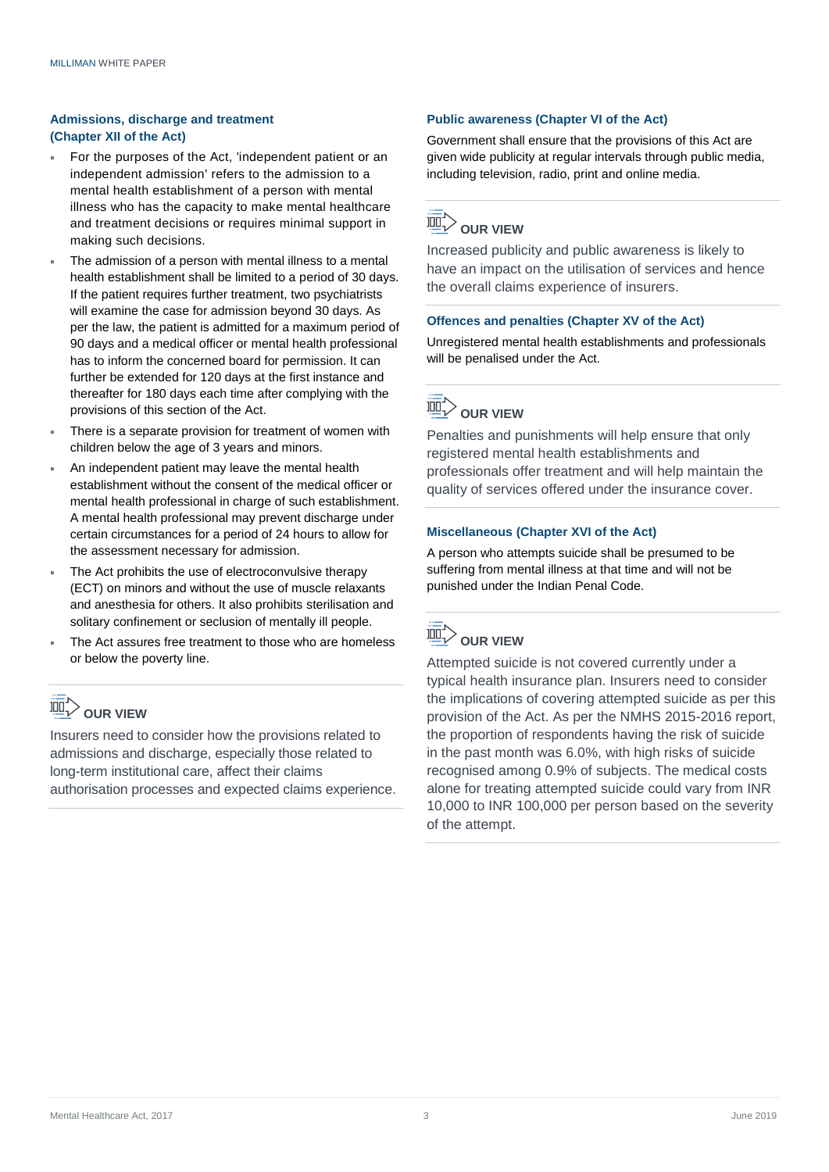#### **Admissions, discharge and treatment (Chapter XII of the Act)**

- For the purposes of the Act, 'independent patient or an independent admission' refers to the admission to a mental health establishment of a person with mental illness who has the capacity to make mental healthcare and treatment decisions or requires minimal support in making such decisions.
- The admission of a person with mental illness to a mental health establishment shall be limited to a period of 30 days. If the patient requires further treatment, two psychiatrists will examine the case for admission beyond 30 days. As per the law, the patient is admitted for a maximum period of 90 days and a medical officer or mental health professional has to inform the concerned board for permission. It can further be extended for 120 days at the first instance and thereafter for 180 days each time after complying with the provisions of this section of the Act.
- There is a separate provision for treatment of women with children below the age of 3 years and minors.
- An independent patient may leave the mental health establishment without the consent of the medical officer or mental health professional in charge of such establishment. A mental health professional may prevent discharge under certain circumstances for a period of 24 hours to allow for the assessment necessary for admission.
- The Act prohibits the use of electroconvulsive therapy (ECT) on minors and without the use of muscle relaxants and anesthesia for others. It also prohibits sterilisation and solitary confinement or seclusion of mentally ill people.
- The Act assures free treatment to those who are homeless or below the poverty line.

## **DUR VIEW**

Insurers need to consider how the provisions related to admissions and discharge, especially those related to long-term institutional care, affect their claims authorisation processes and expected claims experience.

#### **Public awareness (Chapter VI of the Act)**

Government shall ensure that the provisions of this Act are given wide publicity at regular intervals through public media, including television, radio, print and online media.

## **DUR VIEW**

Increased publicity and public awareness is likely to have an impact on the utilisation of services and hence the overall claims experience of insurers.

#### **Offences and penalties (Chapter XV of the Act)**

Unregistered mental health establishments and professionals will be penalised under the Act.

## $\overline{\text{Im}}$  $\triangleright$  our view

Penalties and punishments will help ensure that only registered mental health establishments and professionals offer treatment and will help maintain the quality of services offered under the insurance cover.

#### **Miscellaneous (Chapter XVI of the Act)**

A person who attempts suicide shall be presumed to be suffering from mental illness at that time and will not be punished under the Indian Penal Code.



Attempted suicide is not covered currently under a typical health insurance plan. Insurers need to consider the implications of covering attempted suicide as per this provision of the Act. As per the NMHS 2015-2016 report, the proportion of respondents having the risk of suicide in the past month was 6.0%, with high risks of suicide recognised among 0.9% of subjects. The medical costs alone for treating attempted suicide could vary from INR 10,000 to INR 100,000 per person based on the severity of the attempt.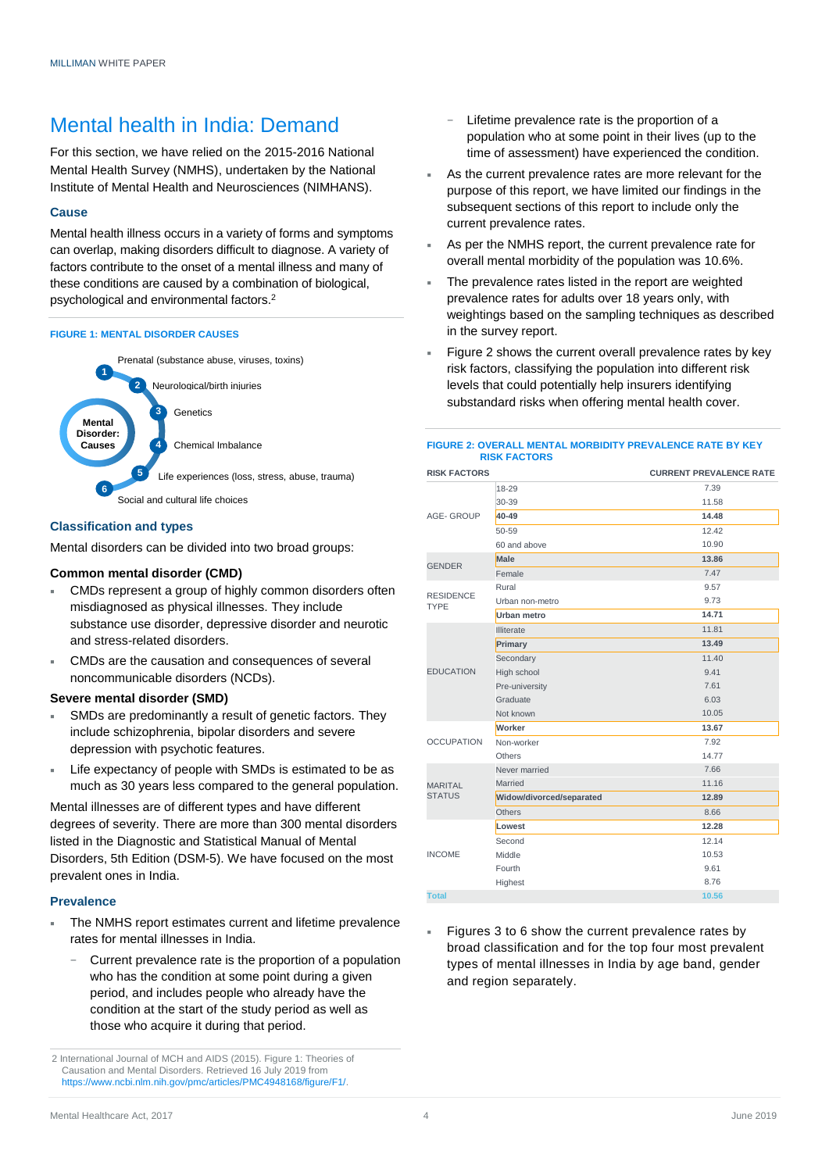### Mental health in India: Demand

For this section, we have relied on the 2015-2016 National Mental Health Survey (NMHS), undertaken by the National Institute of Mental Health and Neurosciences (NIMHANS).

#### **Cause**

Mental health illness occurs in a variety of forms and symptoms can overlap, making disorders difficult to diagnose. A variety of factors contribute to the onset of a mental illness and many of these conditions are caused by a combination of biological, psychological and environmental factors.<sup>2</sup>

#### **FIGURE 1: MENTAL DISORDER CAUSES**



#### **Classification and types**

Mental disorders can be divided into two broad groups:

#### **Common mental disorder (CMD)**

- CMDs represent a group of highly common disorders often misdiagnosed as physical illnesses. They include substance use disorder, depressive disorder and neurotic and stress-related disorders.
- CMDs are the causation and consequences of several noncommunicable disorders (NCDs).

#### **Severe mental disorder (SMD)**

- SMDs are predominantly a result of genetic factors. They include schizophrenia, bipolar disorders and severe depression with psychotic features.
- Life expectancy of people with SMDs is estimated to be as much as 30 years less compared to the general population.

Mental illnesses are of different types and have different degrees of severity. There are more than 300 mental disorders listed in the Diagnostic and Statistical Manual of Mental Disorders, 5th Edition (DSM-5). We have focused on the most prevalent ones in India.

#### **Prevalence**

- The NMHS report estimates current and lifetime prevalence rates for mental illnesses in India.
	- Current prevalence rate is the proportion of a population who has the condition at some point during a given period, and includes people who already have the condition at the start of the study period as well as those who acquire it during that period.
- − Lifetime prevalence rate is the proportion of a population who at some point in their lives (up to the time of assessment) have experienced the condition.
- As the current prevalence rates are more relevant for the purpose of this report, we have limited our findings in the subsequent sections of this report to include only the current prevalence rates.
- As per the NMHS report, the current prevalence rate for overall mental morbidity of the population was 10.6%.
- The prevalence rates listed in the report are weighted prevalence rates for adults over 18 years only, with weightings based on the sampling techniques as described in the survey report.
- Figure 2 shows the current overall prevalence rates by key risk factors, classifying the population into different risk levels that could potentially help insurers identifying substandard risks when offering mental health cover.

#### **FIGURE 2: OVERALL MENTAL MORBIDITY PREVALENCE RATE BY KEY RISK FACTORS**

| <b>RISK FACTORS</b>             |                          | <b>CURRENT PREVALENCE RATE</b> |
|---------------------------------|--------------------------|--------------------------------|
|                                 | 18-29                    | 7.39                           |
| <b>AGE-GROUP</b>                | 30-39                    | 11.58                          |
|                                 | 40-49                    | 14.48                          |
|                                 | 50-59                    | 12.42                          |
|                                 | 60 and above             | 10.90                          |
| <b>GENDER</b>                   | <b>Male</b>              | 13.86                          |
|                                 | Female                   | 7.47                           |
|                                 | Rural                    | 9.57                           |
| <b>RESIDENCE</b><br><b>TYPE</b> | Urban non-metro          | 9.73                           |
|                                 | Urban metro              | 14.71                          |
|                                 | Illiterate               | 11.81                          |
|                                 | Primary                  | 13.49                          |
|                                 | Secondary                | 11.40                          |
| <b>EDUCATION</b>                | High school              | 9.41                           |
|                                 | Pre-university           | 7.61                           |
|                                 | Graduate                 | 6.03                           |
|                                 | Not known                | 10.05                          |
|                                 | Worker                   | 13.67                          |
| <b>OCCUPATION</b>               | Non-worker               | 7.92                           |
|                                 | Others                   | 14.77                          |
|                                 | Never married            | 7.66                           |
| <b>MARITAL</b>                  | Married                  | 11.16                          |
| <b>STATUS</b>                   | Widow/divorced/separated | 12.89                          |
|                                 | Others                   | 8.66                           |
| <b>INCOME</b>                   | Lowest                   | 12.28                          |
|                                 | Second                   | 12.14                          |
|                                 | Middle                   | 10.53                          |
|                                 | Fourth                   | 9.61                           |
|                                 | Highest                  | 8.76                           |
| <b>Total</b>                    |                          | 10.56                          |

 Figures 3 to 6 show the current prevalence rates by broad classification and for the top four most prevalent types of mental illnesses in India by age band, gender and region separately.

<sup>2</sup> International Journal of MCH and AIDS (2015). Figure 1: Theories of Causation and Mental Disorders. Retrieved 16 July 2019 from [https://www.ncbi.nlm.nih.gov/pmc/articles/PMC4948168/figure/F1/.](https://www.ncbi.nlm.nih.gov/pmc/articles/PMC4948168/figure/F1/)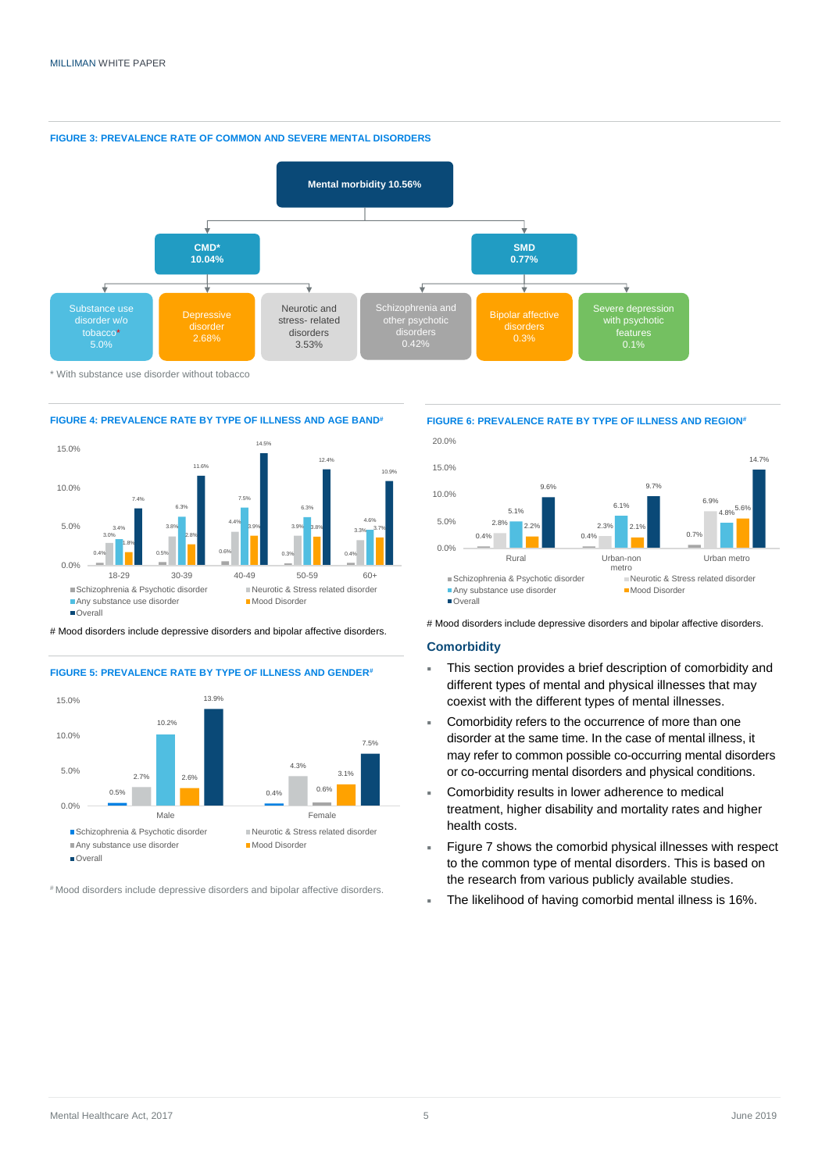



\* With substance use disorder without tobacco





# Mood disorders include depressive disorders and bipolar affective disorders.





# Mood disorders include depressive disorders and bipolar affective disorders.

#### **FIGURE 6: PREVALENCE RATE BY TYPE OF ILLNESS AND REGION#**



# Mood disorders include depressive disorders and bipolar affective disorders.

#### **Comorbidity**

- This section provides a brief description of comorbidity and different types of mental and physical illnesses that may coexist with the different types of mental illnesses.
- Comorbidity refers to the occurrence of more than one disorder at the same time. In the case of mental illness, it may refer to common possible co-occurring mental disorders or co-occurring mental disorders and physical conditions.
- Comorbidity results in lower adherence to medical treatment, higher disability and mortality rates and higher health costs.
- Figure 7 shows the comorbid physical illnesses with respect to the common type of mental disorders. This is based on the research from various publicly available studies.
- The likelihood of having comorbid mental illness is 16%.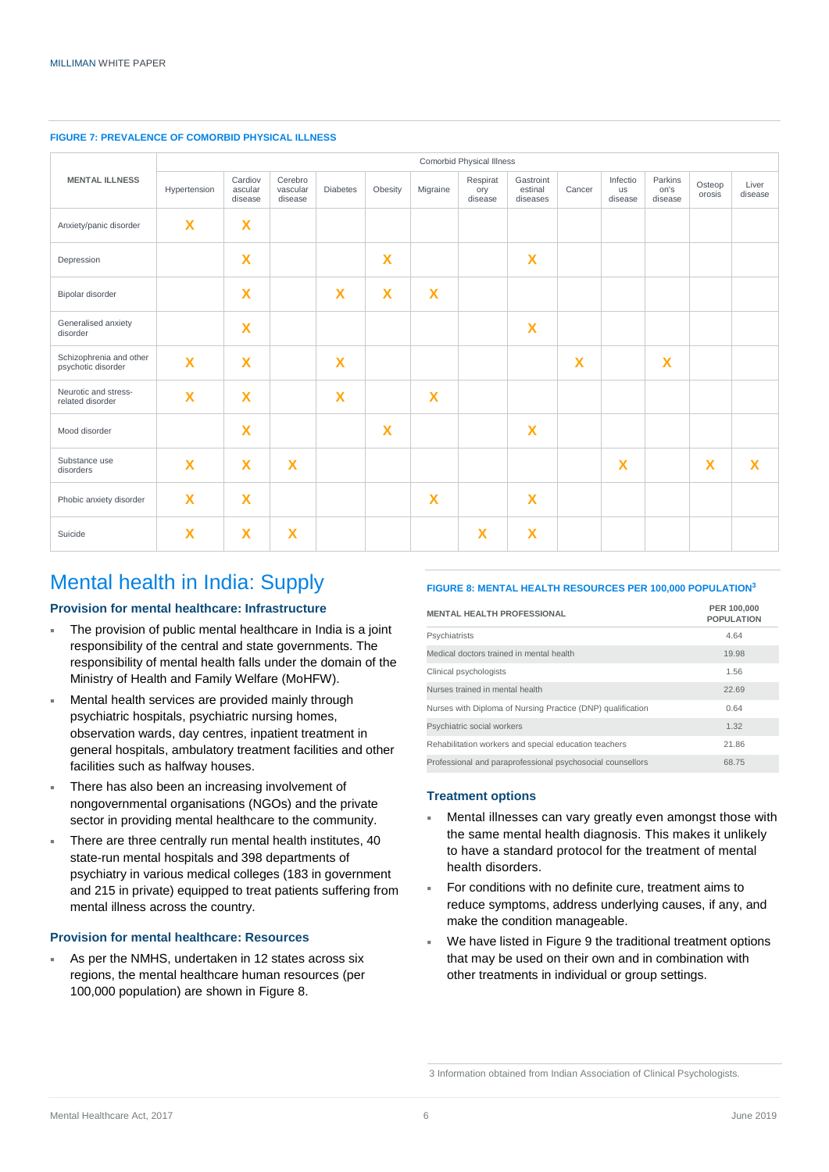| <b>MENTAL ILLNESS</b>                         | Comorbid Physical Illness |                               |                                |                         |                           |                         |                            |                                  |                         |                           |                            |                         |                  |
|-----------------------------------------------|---------------------------|-------------------------------|--------------------------------|-------------------------|---------------------------|-------------------------|----------------------------|----------------------------------|-------------------------|---------------------------|----------------------------|-------------------------|------------------|
|                                               | Hypertension              | Cardiov<br>ascular<br>disease | Cerebro<br>vascular<br>disease | <b>Diabetes</b>         | Obesity                   | Migraine                | Respirat<br>ory<br>disease | Gastroint<br>estinal<br>diseases | Cancer                  | Infectio<br>us<br>disease | Parkins<br>on's<br>disease | Osteop<br>orosis        | Liver<br>disease |
| Anxiety/panic disorder                        | $\mathbf x$               | $\overline{\mathbf{X}}$       |                                |                         |                           |                         |                            |                                  |                         |                           |                            |                         |                  |
| Depression                                    |                           | $\overline{\mathbf{X}}$       |                                |                         | $\overline{\mathbf{X}}$   |                         |                            | $\boldsymbol{\mathsf{X}}$        |                         |                           |                            |                         |                  |
| Bipolar disorder                              |                           | $\overline{\mathbf{X}}$       |                                | $\overline{\mathbf{X}}$ | $\overline{\mathbf{X}}$   | $\overline{\mathbf{X}}$ |                            |                                  |                         |                           |                            |                         |                  |
| Generalised anxiety<br>disorder               |                           | $\overline{\mathbf{X}}$       |                                |                         |                           |                         |                            | $\overline{\mathbf{X}}$          |                         |                           |                            |                         |                  |
| Schizophrenia and other<br>psychotic disorder | $\overline{\mathbf{X}}$   | $\overline{\mathbf{X}}$       |                                | $\overline{\mathbf{X}}$ |                           |                         |                            |                                  | $\overline{\mathbf{X}}$ |                           | $\overline{\mathbf{X}}$    |                         |                  |
| Neurotic and stress-<br>related disorder      | $\mathbf x$               | $\overline{\mathbf{X}}$       |                                | $\overline{\mathbf{X}}$ |                           | $\mathbf x$             |                            |                                  |                         |                           |                            |                         |                  |
| Mood disorder                                 |                           | $\overline{\mathbf{X}}$       |                                |                         | $\boldsymbol{\mathsf{X}}$ |                         |                            | $\mathbf x$                      |                         |                           |                            |                         |                  |
| Substance use<br>disorders                    | $\overline{\mathbf{X}}$   | $\overline{\mathbf{X}}$       | $\boldsymbol{\mathsf{x}}$      |                         |                           |                         |                            |                                  |                         | $\overline{\mathbf{X}}$   |                            | $\overline{\mathbf{X}}$ | X                |
| Phobic anxiety disorder                       | X                         | $\overline{\mathbf{X}}$       |                                |                         |                           | $\overline{\mathbf{X}}$ |                            | $\boldsymbol{\mathsf{X}}$        |                         |                           |                            |                         |                  |
| Suicide                                       | $\boldsymbol{\mathsf{x}}$ | $\overline{\mathbf{X}}$       | $\overline{\mathsf{X}}$        |                         |                           |                         | $\mathbf x$                | $\overline{\mathbf{X}}$          |                         |                           |                            |                         |                  |

#### **FIGURE 7: PREVALENCE OF COMORBID PHYSICAL ILLNESS**

### Mental health in India: Supply

#### **Provision for mental healthcare: Infrastructure**

- The provision of public mental healthcare in India is a joint responsibility of the central and state governments. The responsibility of mental health falls under the domain of the Ministry of Health and Family Welfare (MoHFW).
- Mental health services are provided mainly through psychiatric hospitals, psychiatric nursing homes, observation wards, day centres, inpatient treatment in general hospitals, ambulatory treatment facilities and other facilities such as halfway houses.
- There has also been an increasing involvement of nongovernmental organisations (NGOs) and the private sector in providing mental healthcare to the community.
- There are three centrally run mental health institutes, 40 state-run mental hospitals and 398 departments of psychiatry in various medical colleges (183 in government and 215 in private) equipped to treat patients suffering from mental illness across the country.

#### **Provision for mental healthcare: Resources**

 As per the NMHS, undertaken in 12 states across six regions, the mental healthcare human resources (per 100,000 population) are shown in Figure 8.

#### **FIGURE 8: MENTAL HEALTH RESOURCES PER 100,000 POPULATION<sup>3</sup>**

| <b>MENTAL HEALTH PROFESSIONAL</b>                           | PER 100,000<br><b>POPULATION</b> |
|-------------------------------------------------------------|----------------------------------|
| Psychiatrists                                               | 4.64                             |
| Medical doctors trained in mental health                    | 19.98                            |
| Clinical psychologists                                      | 1.56                             |
| Nurses trained in mental health                             | 22.69                            |
| Nurses with Diploma of Nursing Practice (DNP) qualification | 0.64                             |
| Psychiatric social workers                                  | 1.32                             |
| Rehabilitation workers and special education teachers       | 21.86                            |
| Professional and paraprofessional psychosocial counsellors  | 68.75                            |

#### **Treatment options**

- Mental illnesses can vary greatly even amongst those with the same mental health diagnosis. This makes it unlikely to have a standard protocol for the treatment of mental health disorders.
- For conditions with no definite cure, treatment aims to reduce symptoms, address underlying causes, if any, and make the condition manageable.
- We have listed in Figure 9 the traditional treatment options that may be used on their own and in combination with other treatments in individual or group settings.

<sup>3</sup> Information obtained from Indian Association of Clinical Psychologists.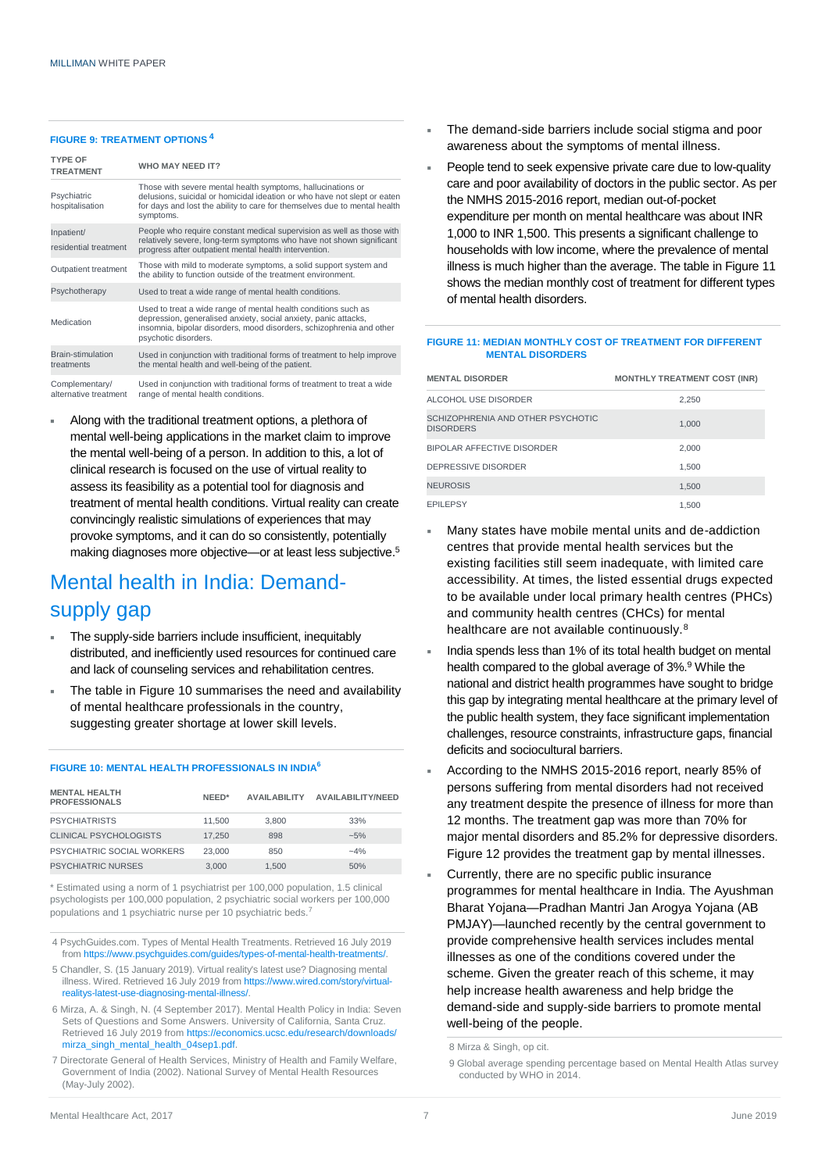#### **FIGURE 9: TREATMENT OPTIONS <sup>4</sup>**

| <b>TYPE OF</b><br><b>TREATMENT</b>      | <b>WHO MAY NEED IT?</b>                                                                                                                                                                                                           |
|-----------------------------------------|-----------------------------------------------------------------------------------------------------------------------------------------------------------------------------------------------------------------------------------|
| Psychiatric<br>hospitalisation          | Those with severe mental health symptoms, hallucinations or<br>delusions, suicidal or homicidal ideation or who have not slept or eaten<br>for days and lost the ability to care for themselves due to mental health<br>symptoms. |
| Inpatient/<br>residential treatment     | People who require constant medical supervision as well as those with<br>relatively severe, long-term symptoms who have not shown significant<br>progress after outpatient mental health intervention.                            |
| Outpatient treatment                    | Those with mild to moderate symptoms, a solid support system and<br>the ability to function outside of the treatment environment.                                                                                                 |
| Psychotherapy                           | Used to treat a wide range of mental health conditions.                                                                                                                                                                           |
| Medication                              | Used to treat a wide range of mental health conditions such as<br>depression, generalised anxiety, social anxiety, panic attacks,<br>insomnia, bipolar disorders, mood disorders, schizophrenia and other<br>psychotic disorders. |
| Brain-stimulation<br>treatments         | Used in conjunction with traditional forms of treatment to help improve<br>the mental health and well-being of the patient.                                                                                                       |
| Complementary/<br>alternative treatment | Used in conjunction with traditional forms of treatment to treat a wide<br>range of mental health conditions.                                                                                                                     |

 Along with the traditional treatment options, a plethora of mental well-being applications in the market claim to improve the mental well-being of a person. In addition to this, a lot of clinical research is focused on the use of virtual reality to assess its feasibility as a potential tool for diagnosis and treatment of mental health conditions. Virtual reality can create convincingly realistic simulations of experiences that may provoke symptoms, and it can do so consistently, potentially making diagnoses more objective—or at least less subjective.<sup>5</sup>

## Mental health in India: Demandsupply gap

- The supply-side barriers include insufficient, inequitably distributed, and inefficiently used resources for continued care and lack of counseling services and rehabilitation centres.
- The table in Figure 10 summarises the need and availability of mental healthcare professionals in the country, suggesting greater shortage at lower skill levels.

| <b>MENTAL HEALTH</b><br><b>PROFESSIONALS</b> | NFFD*  | <b>AVAILABILITY</b> | <b>AVAILABILITY/NEED</b> |
|----------------------------------------------|--------|---------------------|--------------------------|
| <b>PSYCHIATRISTS</b>                         | 11.500 | 3.800               | 33%                      |
| CLINICAL PSYCHOLOGISTS                       | 17.250 | 898                 | $-5%$                    |
| PSYCHIATRIC SOCIAL WORKERS                   | 23,000 | 850                 | $-4%$                    |
| <b>PSYCHIATRIC NURSES</b>                    | 3.000  | 1.500               | 50%                      |

**FIGURE 10: MENTAL HEALTH PROFESSIONALS IN INDIA<sup>6</sup>**

\* Estimated using a norm of 1 psychiatrist per 100,000 population, 1.5 clinical psychologists per 100,000 population, 2 psychiatric social workers per 100,000 populations and 1 psychiatric nurse per 10 psychiatric beds.<sup>7</sup>

- 4 PsychGuides.com. Types of Mental Health Treatments. Retrieved 16 July 2019 from https://www.psychquides.com/quides/types-of-mental-health-treatment
- 5 Chandler, S. (15 January 2019). Virtual reality's latest use? Diagnosing mental illness. Wired. Retrieved 16 July 2019 fro[m https://www.wired.com/story/virtual](https://www.wired.com/story/virtual-realitys-latest-use-diagnosing-mental-illness/)realitys-latest-use-diagnosing-mental-
- 6 Mirza, A. & Singh, N. (4 September 2017). Mental Health Policy in India: Seven Sets of Questions and Some Answers. University of California, Santa Cruz. Retrieved 16 July 2019 fro[m https://economics.ucsc.edu/research/downloads/](https://economics.ucsc.edu/research/downloads/mirza_singh_mental_health_04sep1.pdf) [mirza\\_singh\\_mental\\_health\\_04sep1.pdf.](https://economics.ucsc.edu/research/downloads/mirza_singh_mental_health_04sep1.pdf)
- 7 Directorate General of Health Services, Ministry of Health and Family Welfare, Government of India (2002). National Survey of Mental Health Resources (May-July 2002).
- The demand-side barriers include social stigma and poor awareness about the symptoms of mental illness.
- People tend to seek expensive private care due to low-quality care and poor availability of doctors in the public sector. As per the NMHS 2015-2016 report, median out-of-pocket expenditure per month on mental healthcare was about INR 1,000 to INR 1,500. This presents a significant challenge to households with low income, where the prevalence of mental illness is much higher than the average. The table in Figure 11 shows the median monthly cost of treatment for different types of mental health disorders.

#### **FIGURE 11: MEDIAN MONTHLY COST OF TREATMENT FOR DIFFERENT MENTAL DISORDERS**

| <b>MENTAL DISORDER</b>                                | <b>MONTHLY TREATMENT COST (INR)</b> |
|-------------------------------------------------------|-------------------------------------|
| ALCOHOL USE DISORDER                                  | 2.250                               |
| SCHIZOPHRENIA AND OTHER PSYCHOTIC<br><b>DISORDERS</b> | 1.000                               |
| <b>BIPOLAR AFFECTIVE DISORDER</b>                     | 2.000                               |
| DEPRESSIVE DISORDER                                   | 1.500                               |
| <b>NEUROSIS</b>                                       | 1.500                               |
| <b>EPILEPSY</b>                                       | 1.500                               |

- Many states have mobile mental units and de-addiction centres that provide mental health services but the existing facilities still seem inadequate, with limited care accessibility. At times, the listed essential drugs expected to be available under local primary health centres (PHCs) and community health centres (CHCs) for mental healthcare are not available continuously.<sup>8</sup>
- India spends less than 1% of its total health budget on mental health compared to the global average of 3%.<sup>9</sup> While the national and district health programmes have sought to bridge this gap by integrating mental healthcare at the primary level of the public health system, they face significant implementation challenges, resource constraints, infrastructure gaps, financial deficits and sociocultural barriers.
- According to the NMHS 2015-2016 report, nearly 85% of persons suffering from mental disorders had not received any treatment despite the presence of illness for more than 12 months. The treatment gap was more than 70% for major mental disorders and 85.2% for depressive disorders. Figure 12 provides the treatment gap by mental illnesses.
- Currently, there are no specific public insurance programmes for mental healthcare in India. The Ayushman Bharat Yojana—Pradhan Mantri Jan Arogya Yojana (AB PMJAY)—launched recently by the central government to provide comprehensive health services includes mental illnesses as one of the conditions covered under the scheme. Given the greater reach of this scheme, it may help increase health awareness and help bridge the demand-side and supply-side barriers to promote mental well-being of the people.

8 Mirza & Singh, op cit.

<sup>9</sup> Global average spending percentage based on Mental Health Atlas survey conducted by WHO in 2014.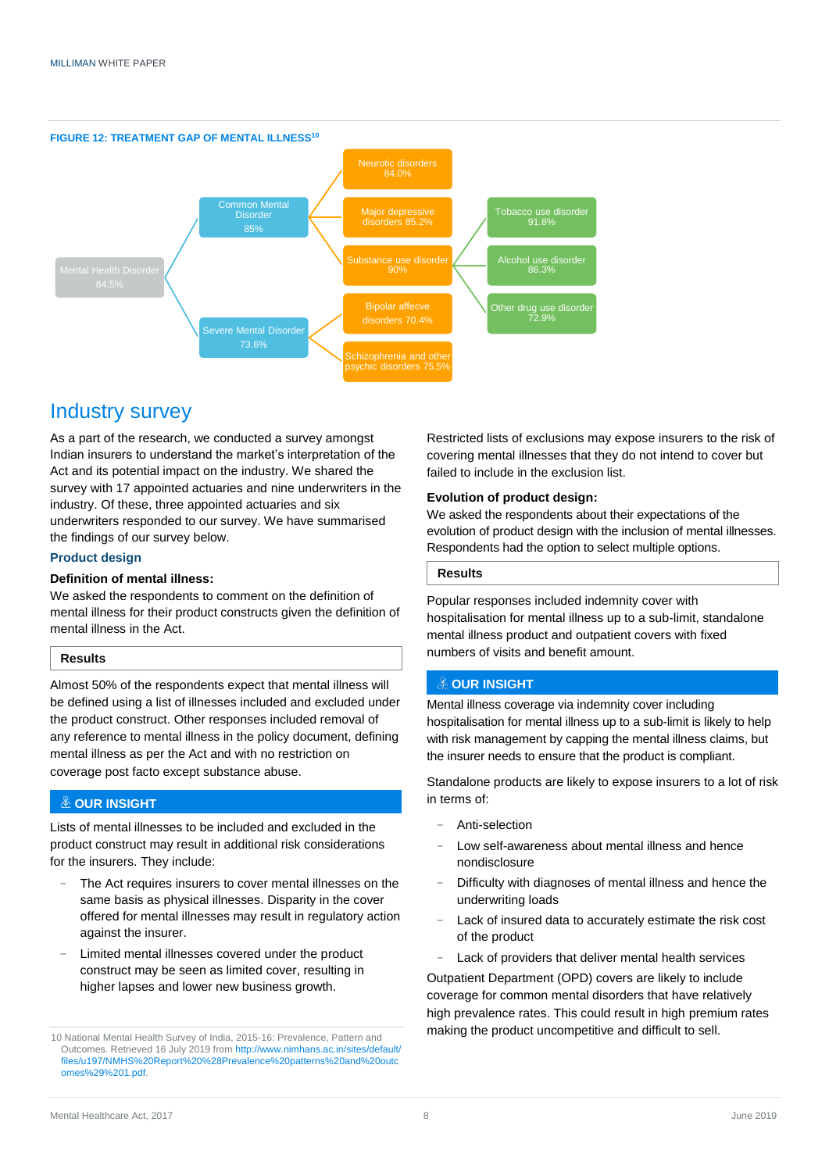

### Industry survey

As a part of the research, we conducted a survey amongst Indian insurers to understand the market's interpretation of the Act and its potential impact on the industry. We shared the survey with 17 appointed actuaries and nine underwriters in the industry. Of these, three appointed actuaries and six underwriters responded to our survey. We have summarised the findings of our survey below.

#### **Product design**

#### **Definition of mental illness:**

We asked the respondents to comment on the definition of mental illness for their product constructs given the definition of mental illness in the Act.

#### **Results**

Almost 50% of the respondents expect that mental illness will be defined using a list of illnesses included and excluded under the product construct. Other responses included removal of any reference to mental illness in the policy document, defining mental illness as per the Act and with no restriction on coverage post facto except substance abuse.

#### **OUR INSIGHT**

Lists of mental illnesses to be included and excluded in the product construct may result in additional risk considerations for the insurers. They include:

- The Act requires insurers to cover mental illnesses on the same basis as physical illnesses. Disparity in the cover offered for mental illnesses may result in regulatory action against the insurer.
- Limited mental illnesses covered under the product construct may be seen as limited cover, resulting in higher lapses and lower new business growth.

Restricted lists of exclusions may expose insurers to the risk of covering mental illnesses that they do not intend to cover but failed to include in the exclusion list.

#### **Evolution of product design:**

We asked the respondents about their expectations of the evolution of product design with the inclusion of mental illnesses. Respondents had the option to select multiple options.

#### **Results**

Popular responses included indemnity cover with hospitalisation for mental illness up to a sub-limit, standalone mental illness product and outpatient covers with fixed numbers of visits and benefit amount.

#### **& OUR INSIGHT**

Mental illness coverage via indemnity cover including hospitalisation for mental illness up to a sub-limit is likely to help with risk management by capping the mental illness claims, but the insurer needs to ensure that the product is compliant.

Standalone products are likely to expose insurers to a lot of risk in terms of:

- − Anti-selection
- Low self-awareness about mental illness and hence nondisclosure
- Difficulty with diagnoses of mental illness and hence the underwriting loads
- Lack of insured data to accurately estimate the risk cost of the product
- Lack of providers that deliver mental health services

Outpatient Department (OPD) covers are likely to include coverage for common mental disorders that have relatively high prevalence rates. This could result in high premium rates making the product uncompetitive and difficult to sell.

<sup>10</sup> National Mental Health Survey of India, 2015-16: Prevalence, Pattern and Outcomes. Retrieved 16 July 2019 fro[m http://www.nimhans.ac.in/sites/default/](http://www.nimhans.ac.in/sites/default/files/u197/NMHS%20Report%20%28Prevalence%20patterns%20and%20outcomes%29%201.pdf) [files/u197/NMHS%20Report%20%28Prevalence%20patterns%20and%20outc](http://www.nimhans.ac.in/sites/default/files/u197/NMHS%20Report%20%28Prevalence%20patterns%20and%20outcomes%29%201.pdf) [omes%29%201.pdf.](http://www.nimhans.ac.in/sites/default/files/u197/NMHS%20Report%20%28Prevalence%20patterns%20and%20outcomes%29%201.pdf)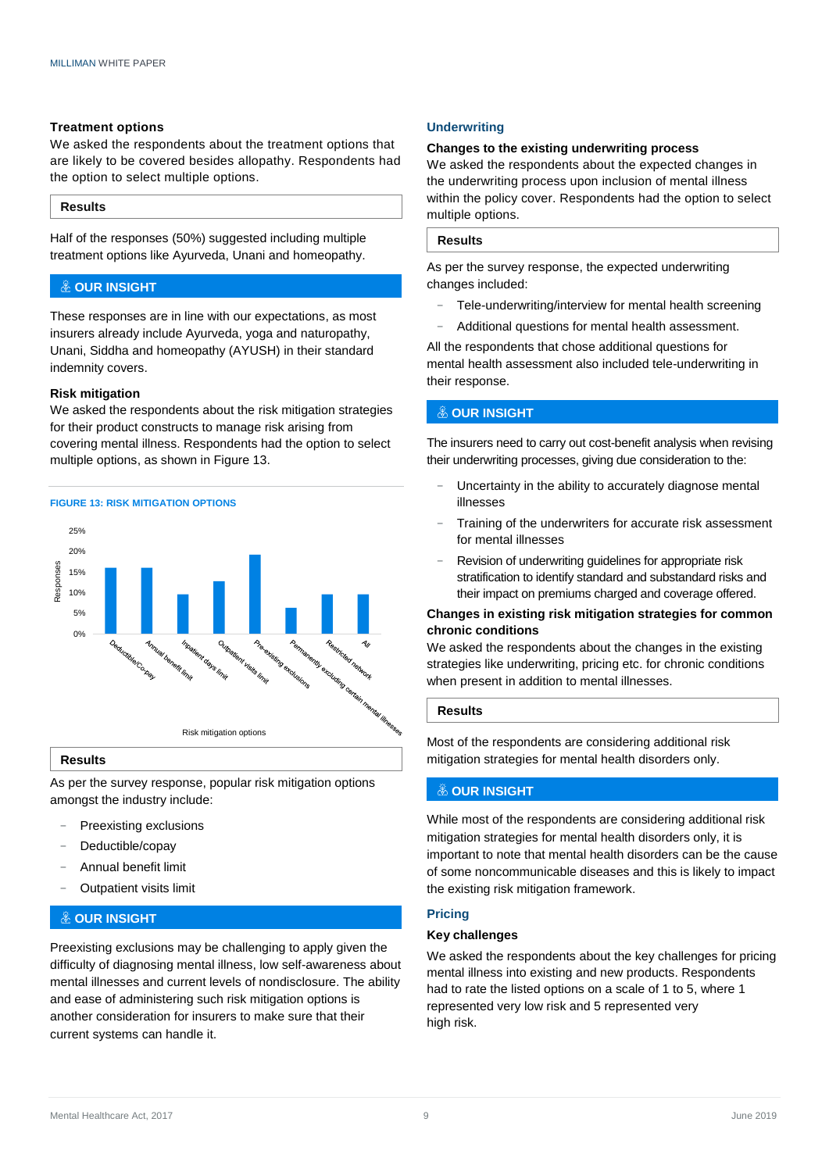#### **Treatment options**

We asked the respondents about the treatment options that are likely to be covered besides allopathy. Respondents had the option to select multiple options.

#### **Results**

Half of the responses (50%) suggested including multiple treatment options like Ayurveda, Unani and homeopathy.

#### **& OUR INSIGHT**

These responses are in line with our expectations, as most insurers already include Ayurveda, yoga and naturopathy, Unani, Siddha and homeopathy (AYUSH) in their standard indemnity covers.

#### **Risk mitigation**

We asked the respondents about the risk mitigation strategies for their product constructs to manage risk arising from covering mental illness. Respondents had the option to select multiple options, as shown in Figure 13.





#### **Results**

As per the survey response, popular risk mitigation options amongst the industry include:

- Preexisting exclusions
- Deductible/copay
- − Annual benefit limit
- − Outpatient visits limit

#### **OUR INSIGHT**

Preexisting exclusions may be challenging to apply given the difficulty of diagnosing mental illness, low self-awareness about mental illnesses and current levels of nondisclosure. The ability and ease of administering such risk mitigation options is another consideration for insurers to make sure that their current systems can handle it.

#### **Underwriting**

#### **Changes to the existing underwriting process**

We asked the respondents about the expected changes in the underwriting process upon inclusion of mental illness within the policy cover. Respondents had the option to select multiple options.

#### **Results**

As per the survey response, the expected underwriting changes included:

- Tele-underwriting/interview for mental health screening
- − Additional questions for mental health assessment.

All the respondents that chose additional questions for mental health assessment also included tele-underwriting in their response.

#### **OUR INSIGHT**

The insurers need to carry out cost-benefit analysis when revising their underwriting processes, giving due consideration to the:

- Uncertainty in the ability to accurately diagnose mental illnesses
- Training of the underwriters for accurate risk assessment for mental illnesses
- Revision of underwriting guidelines for appropriate risk stratification to identify standard and substandard risks and their impact on premiums charged and coverage offered.

#### **Changes in existing risk mitigation strategies for common chronic conditions**

We asked the respondents about the changes in the existing strategies like underwriting, pricing etc. for chronic conditions when present in addition to mental illnesses.

#### **Results**

Most of the respondents are considering additional risk mitigation strategies for mental health disorders only.

#### **OUR INSIGHT**

While most of the respondents are considering additional risk mitigation strategies for mental health disorders only, it is important to note that mental health disorders can be the cause of some noncommunicable diseases and this is likely to impact the existing risk mitigation framework.

#### **Pricing**

#### **Key challenges**

We asked the respondents about the key challenges for pricing mental illness into existing and new products. Respondents had to rate the listed options on a scale of 1 to 5, where 1 represented very low risk and 5 represented very high risk.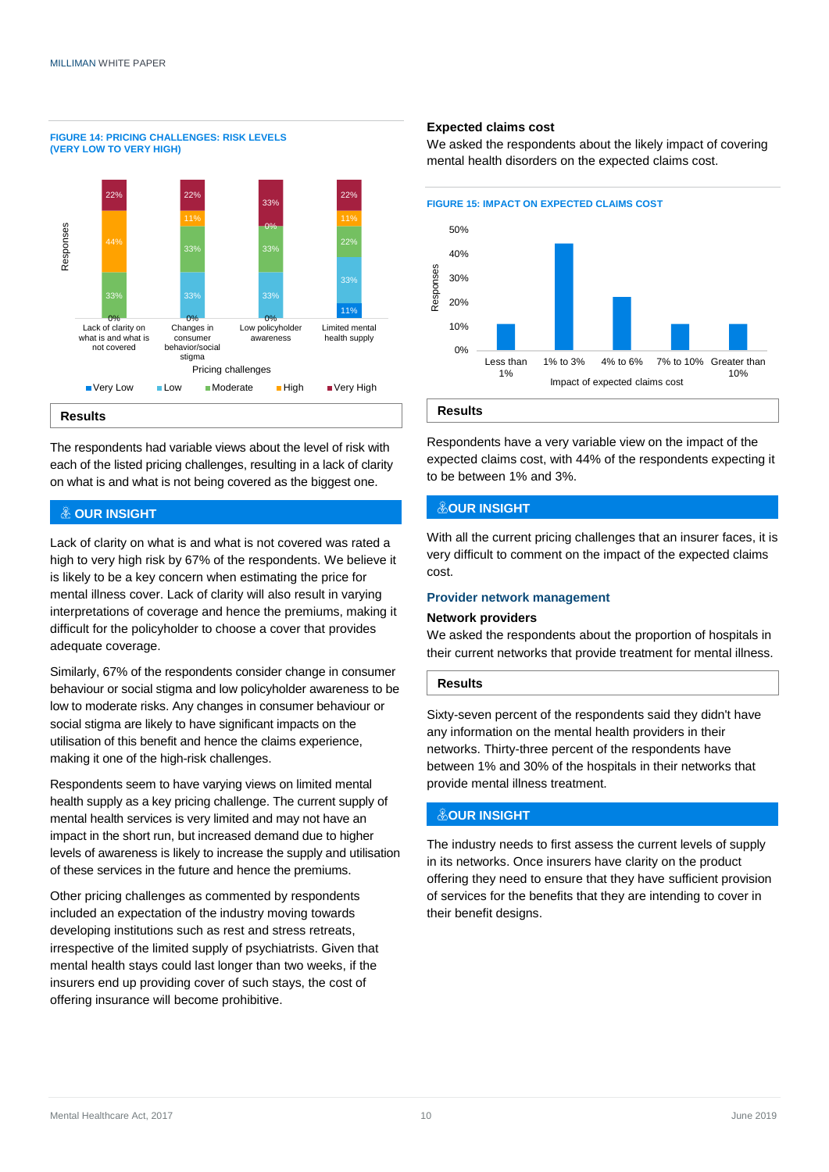**FIGURE 14: PRICING CHALLENGES: RISK LEVELS** 



The respondents had variable views about the level of risk with each of the listed pricing challenges, resulting in a lack of clarity on what is and what is not being covered as the biggest one.

#### **OUR INSIGHT**

Lack of clarity on what is and what is not covered was rated a high to very high risk by 67% of the respondents. We believe it is likely to be a key concern when estimating the price for mental illness cover. Lack of clarity will also result in varying interpretations of coverage and hence the premiums, making it difficult for the policyholder to choose a cover that provides adequate coverage.

Similarly, 67% of the respondents consider change in consumer behaviour or social stigma and low policyholder awareness to be low to moderate risks. Any changes in consumer behaviour or social stigma are likely to have significant impacts on the utilisation of this benefit and hence the claims experience, making it one of the high-risk challenges.

Respondents seem to have varying views on limited mental health supply as a key pricing challenge. The current supply of mental health services is very limited and may not have an impact in the short run, but increased demand due to higher levels of awareness is likely to increase the supply and utilisation of these services in the future and hence the premiums.

Other pricing challenges as commented by respondents included an expectation of the industry moving towards developing institutions such as rest and stress retreats, irrespective of the limited supply of psychiatrists. Given that mental health stays could last longer than two weeks, if the insurers end up providing cover of such stays, the cost of offering insurance will become prohibitive.

#### **Expected claims cost**

We asked the respondents about the likely impact of covering mental health disorders on the expected claims cost.



**Results**

Respondents have a very variable view on the impact of the expected claims cost, with 44% of the respondents expecting it to be between 1% and 3%.

#### **&OUR INSIGHT**

With all the current pricing challenges that an insurer faces, it is very difficult to comment on the impact of the expected claims cost.

#### **Provider network management**

#### **Network providers**

We asked the respondents about the proportion of hospitals in their current networks that provide treatment for mental illness.

#### **Results**

Sixty-seven percent of the respondents said they didn't have any information on the mental health providers in their networks. Thirty-three percent of the respondents have between 1% and 30% of the hospitals in their networks that provide mental illness treatment.

#### **OUR INSIGHT**

The industry needs to first assess the current levels of supply in its networks. Once insurers have clarity on the product offering they need to ensure that they have sufficient provision of services for the benefits that they are intending to cover in their benefit designs.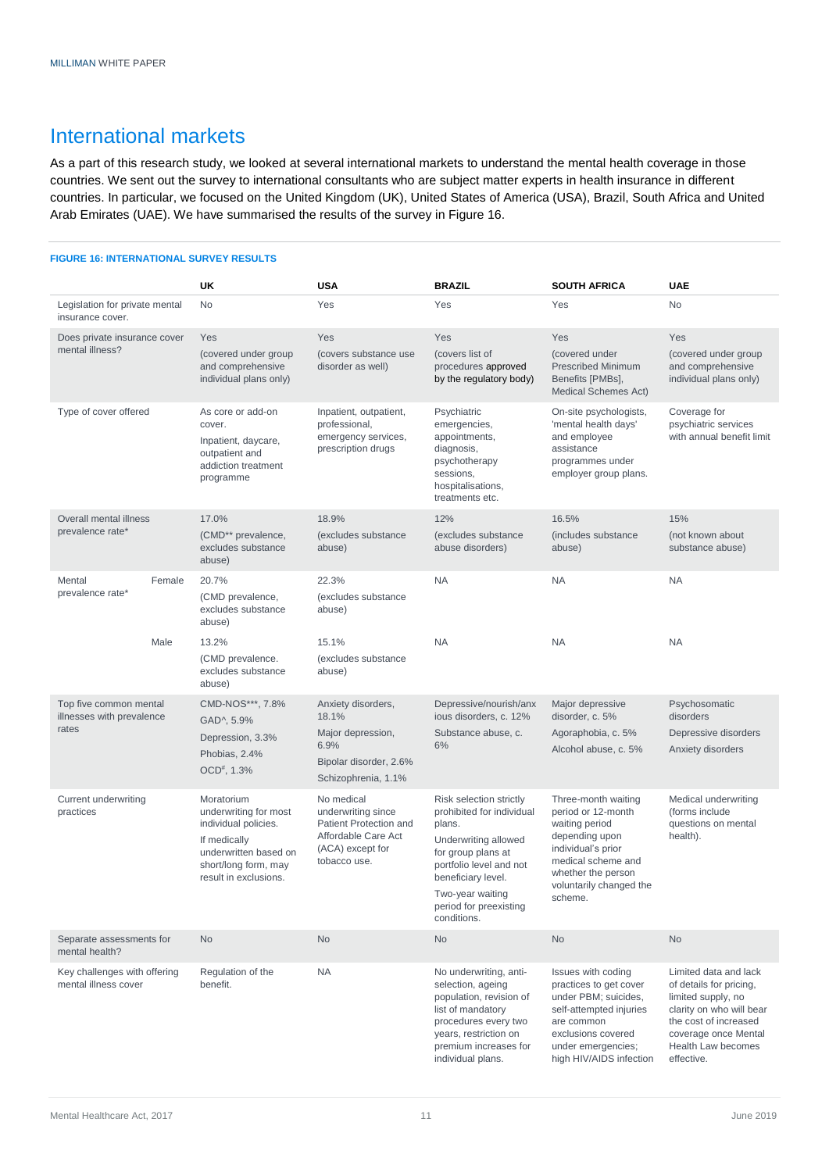### International markets

As a part of this research study, we looked at several international markets to understand the mental health coverage in those countries. We sent out the survey to international consultants who are subject matter experts in health insurance in different countries. In particular, we focused on the United Kingdom (UK), United States of America (USA), Brazil, South Africa and United Arab Emirates (UAE). We have summarised the results of the survey in Figure 16.

#### **FIGURE 16: INTERNATIONAL SURVEY RESULTS**

|                                                      |        | UK                                                                                                                                                    | <b>USA</b>                                                                                                            | <b>BRAZIL</b>                                                                                                                                                                                                              | <b>SOUTH AFRICA</b>                                                                                                                                                                   | <b>UAE</b>                                                                                                                                                                              |
|------------------------------------------------------|--------|-------------------------------------------------------------------------------------------------------------------------------------------------------|-----------------------------------------------------------------------------------------------------------------------|----------------------------------------------------------------------------------------------------------------------------------------------------------------------------------------------------------------------------|---------------------------------------------------------------------------------------------------------------------------------------------------------------------------------------|-----------------------------------------------------------------------------------------------------------------------------------------------------------------------------------------|
| Legislation for private mental<br>insurance cover.   |        | No                                                                                                                                                    | Yes                                                                                                                   | Yes                                                                                                                                                                                                                        | Yes                                                                                                                                                                                   | No                                                                                                                                                                                      |
| Does private insurance cover<br>mental illness?      |        | Yes                                                                                                                                                   | Yes                                                                                                                   | Yes                                                                                                                                                                                                                        | Yes                                                                                                                                                                                   | Yes                                                                                                                                                                                     |
|                                                      |        | (covered under group<br>and comprehensive<br>individual plans only)                                                                                   | (covers substance use<br>disorder as well)                                                                            | (covers list of<br>procedures approved<br>by the regulatory body)                                                                                                                                                          | (covered under<br><b>Prescribed Minimum</b><br>Benefits [PMBs],<br>Medical Schemes Act)                                                                                               | (covered under group<br>and comprehensive<br>individual plans only)                                                                                                                     |
| Type of cover offered                                |        | As core or add-on<br>cover.<br>Inpatient, daycare,<br>outpatient and<br>addiction treatment<br>programme                                              | Inpatient, outpatient,<br>professional,<br>emergency services,<br>prescription drugs                                  | Psychiatric<br>emergencies,<br>appointments,<br>diagnosis,<br>psychotherapy<br>sessions,<br>hospitalisations,<br>treatments etc.                                                                                           | On-site psychologists,<br>'mental health days'<br>and employee<br>assistance<br>programmes under<br>employer group plans.                                                             | Coverage for<br>psychiatric services<br>with annual benefit limit                                                                                                                       |
| Overall mental illness                               |        | 17.0%                                                                                                                                                 | 18.9%                                                                                                                 | 12%                                                                                                                                                                                                                        | 16.5%                                                                                                                                                                                 | 15%                                                                                                                                                                                     |
| prevalence rate*                                     |        | (CMD** prevalence,<br>excludes substance<br>abuse)                                                                                                    | (excludes substance<br>abuse)                                                                                         | (excludes substance<br>abuse disorders)                                                                                                                                                                                    | (includes substance<br>abuse)                                                                                                                                                         | (not known about<br>substance abuse)                                                                                                                                                    |
| Mental<br>prevalence rate*                           | Female | 20.7%<br>(CMD prevalence,<br>excludes substance<br>abuse)                                                                                             | 22.3%<br>(excludes substance<br>abuse)                                                                                | <b>NA</b>                                                                                                                                                                                                                  | <b>NA</b>                                                                                                                                                                             | <b>NA</b>                                                                                                                                                                               |
|                                                      | Male   | 13.2%<br>(CMD prevalence.<br>excludes substance<br>abuse)                                                                                             | 15.1%<br>(excludes substance<br>abuse)                                                                                | <b>NA</b>                                                                                                                                                                                                                  | <b>NA</b>                                                                                                                                                                             | <b>NA</b>                                                                                                                                                                               |
| Top five common mental<br>illnesses with prevalence  |        | CMD-NOS***, 7.8%<br>GAD^, 5.9%                                                                                                                        | Anxiety disorders,<br>18.1%                                                                                           | Depressive/nourish/anx<br>ious disorders, c. 12%                                                                                                                                                                           | Major depressive<br>disorder, c. 5%                                                                                                                                                   | Psychosomatic<br>disorders                                                                                                                                                              |
| rates                                                |        | Depression, 3.3%<br>Phobias, 2.4%<br>$OCD^{\#}$ , 1.3%                                                                                                | Major depression,<br>6.9%<br>Bipolar disorder, 2.6%<br>Schizophrenia, 1.1%                                            | Substance abuse, c.<br>6%                                                                                                                                                                                                  | Agoraphobia, c. 5%<br>Alcohol abuse, c. 5%                                                                                                                                            | Depressive disorders<br>Anxiety disorders                                                                                                                                               |
| Current underwriting<br>practices                    |        | Moratorium<br>underwriting for most<br>individual policies.<br>If medically<br>underwritten based on<br>short/long form, may<br>result in exclusions. | No medical<br>underwriting since<br>Patient Protection and<br>Affordable Care Act<br>(ACA) except for<br>tobacco use. | Risk selection strictly<br>prohibited for individual<br>plans.<br>Underwriting allowed<br>for group plans at<br>portfolio level and not<br>beneficiary level.<br>Two-year waiting<br>period for preexisting<br>conditions. | Three-month waiting<br>period or 12-month<br>waiting period<br>depending upon<br>individual's prior<br>medical scheme and<br>whether the person<br>voluntarily changed the<br>scheme. | Medical underwriting<br>(forms include)<br>questions on mental<br>health).                                                                                                              |
| Separate assessments for<br>mental health?           |        | No                                                                                                                                                    | No                                                                                                                    | <b>No</b>                                                                                                                                                                                                                  | <b>No</b>                                                                                                                                                                             | No                                                                                                                                                                                      |
| Key challenges with offering<br>mental illness cover |        | Regulation of the<br>benefit.                                                                                                                         | <b>NA</b>                                                                                                             | No underwriting, anti-<br>selection, ageing<br>population, revision of<br>list of mandatory<br>procedures every two<br>years, restriction on<br>premium increases for<br>individual plans.                                 | Issues with coding<br>practices to get cover<br>under PBM; suicides,<br>self-attempted injuries<br>are common<br>exclusions covered<br>under emergencies;<br>high HIV/AIDS infection  | Limited data and lack<br>of details for pricing,<br>limited supply, no<br>clarity on who will bear<br>the cost of increased<br>coverage once Mental<br>Health Law becomes<br>effective. |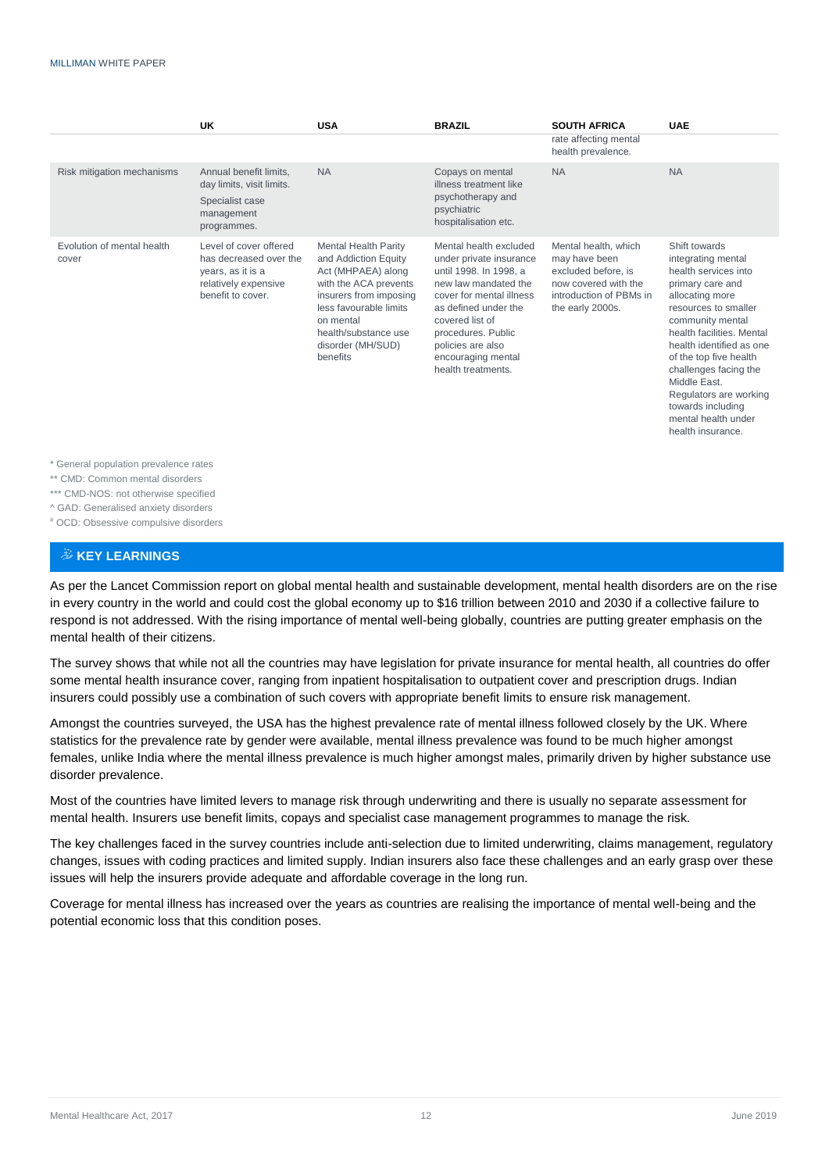|                                     | UK                                                                                                                 | <b>USA</b>                                                                                                                                                                                                                   | <b>BRAZIL</b>                                                                                                                                                                                                                                                     | <b>SOUTH AFRICA</b><br>rate affecting mental<br>health prevalence.                                                                  | <b>UAE</b>                                                                                                                                                                                                                                                                                                                                                            |
|-------------------------------------|--------------------------------------------------------------------------------------------------------------------|------------------------------------------------------------------------------------------------------------------------------------------------------------------------------------------------------------------------------|-------------------------------------------------------------------------------------------------------------------------------------------------------------------------------------------------------------------------------------------------------------------|-------------------------------------------------------------------------------------------------------------------------------------|-----------------------------------------------------------------------------------------------------------------------------------------------------------------------------------------------------------------------------------------------------------------------------------------------------------------------------------------------------------------------|
| Risk mitigation mechanisms          | Annual benefit limits,<br>day limits, visit limits.<br>Specialist case<br>management<br>programmes.                | <b>NA</b>                                                                                                                                                                                                                    | Copays on mental<br>illness treatment like<br>psychotherapy and<br>psychiatric<br>hospitalisation etc.                                                                                                                                                            | <b>NA</b>                                                                                                                           | <b>NA</b>                                                                                                                                                                                                                                                                                                                                                             |
| Evolution of mental health<br>cover | Level of cover offered<br>has decreased over the<br>years, as it is a<br>relatively expensive<br>benefit to cover. | <b>Mental Health Parity</b><br>and Addiction Equity<br>Act (MHPAEA) along<br>with the ACA prevents<br>insurers from imposing<br>less favourable limits<br>on mental<br>health/substance use<br>disorder (MH/SUD)<br>benefits | Mental health excluded<br>under private insurance<br>until 1998. In 1998, a<br>new law mandated the<br>cover for mental illness<br>as defined under the<br>covered list of<br>procedures. Public<br>policies are also<br>encouraging mental<br>health treatments. | Mental health, which<br>may have been<br>excluded before, is<br>now covered with the<br>introduction of PBMs in<br>the early 2000s. | Shift towards<br>integrating mental<br>health services into<br>primary care and<br>allocating more<br>resources to smaller<br>community mental<br>health facilities. Mental<br>health identified as one<br>of the top five health<br>challenges facing the<br>Middle East.<br>Regulators are working<br>towards including<br>mental health under<br>health insurance. |

\* General population prevalence rates

\*\* CMD: Common mental disorders

\*\*\* CMD-NOS: not otherwise specified

^ GAD: Generalised anxiety disorders

# OCD: Obsessive compulsive disorders

#### $\ddot{\&}$  KEY LEARNINGS

As per the Lancet Commission report on global mental health and sustainable development, mental health disorders are on the rise in every country in the world and could cost the global economy up to \$16 trillion between 2010 and 2030 if a collective failure to respond is not addressed. With the rising importance of mental well-being globally, countries are putting greater emphasis on the mental health of their citizens.

The survey shows that while not all the countries may have legislation for private insurance for mental health, all countries do offer some mental health insurance cover, ranging from inpatient hospitalisation to outpatient cover and prescription drugs. Indian insurers could possibly use a combination of such covers with appropriate benefit limits to ensure risk management.

Amongst the countries surveyed, the USA has the highest prevalence rate of mental illness followed closely by the UK. Where statistics for the prevalence rate by gender were available, mental illness prevalence was found to be much higher amongst females, unlike India where the mental illness prevalence is much higher amongst males, primarily driven by higher substance use disorder prevalence.

Most of the countries have limited levers to manage risk through underwriting and there is usually no separate assessment for mental health. Insurers use benefit limits, copays and specialist case management programmes to manage the risk.

The key challenges faced in the survey countries include anti-selection due to limited underwriting, claims management, regulatory changes, issues with coding practices and limited supply. Indian insurers also face these challenges and an early grasp over these issues will help the insurers provide adequate and affordable coverage in the long run.

Coverage for mental illness has increased over the years as countries are realising the importance of mental well-being and the potential economic loss that this condition poses.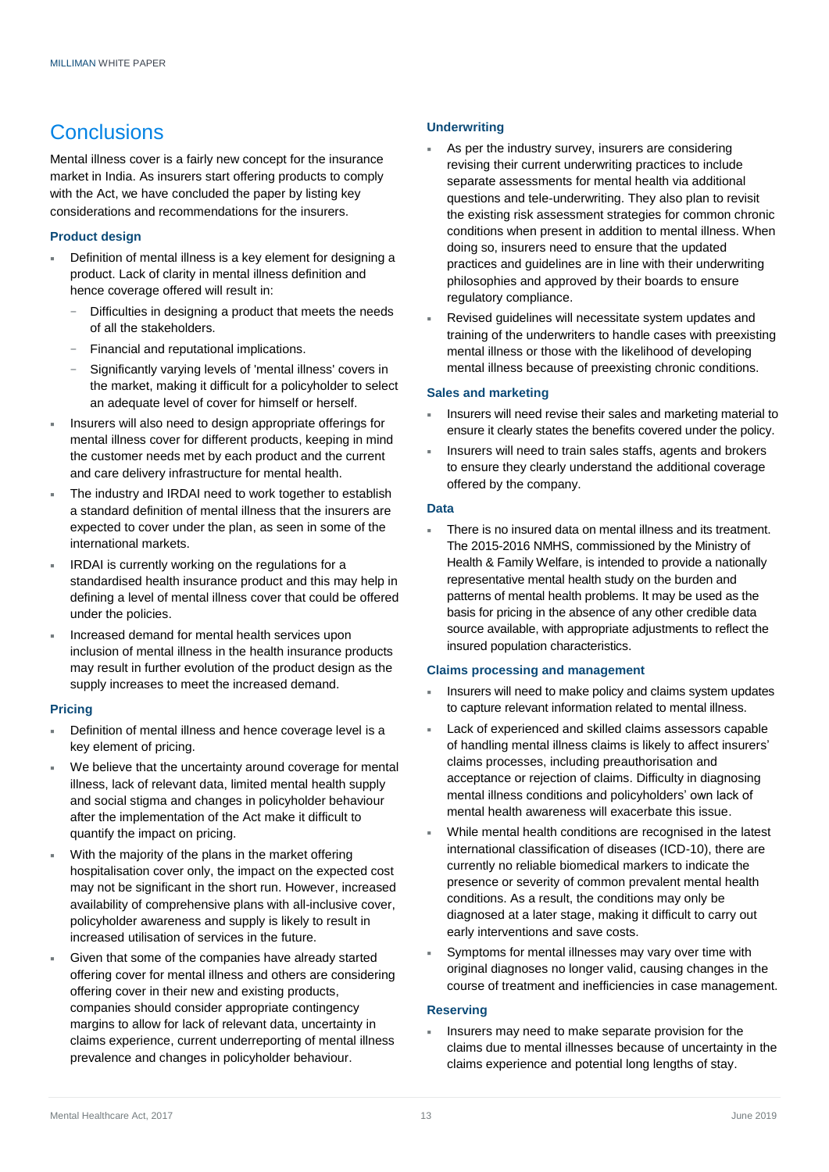### **Conclusions**

Mental illness cover is a fairly new concept for the insurance market in India. As insurers start offering products to comply with the Act, we have concluded the paper by listing key considerations and recommendations for the insurers.

#### **Product design**

- Definition of mental illness is a key element for designing a product. Lack of clarity in mental illness definition and hence coverage offered will result in:
	- Difficulties in designing a product that meets the needs of all the stakeholders.
	- Financial and reputational implications.
	- Significantly varying levels of 'mental illness' covers in the market, making it difficult for a policyholder to select an adequate level of cover for himself or herself.
- Insurers will also need to design appropriate offerings for mental illness cover for different products, keeping in mind the customer needs met by each product and the current and care delivery infrastructure for mental health.
- The industry and IRDAI need to work together to establish a standard definition of mental illness that the insurers are expected to cover under the plan, as seen in some of the international markets.
- IRDAI is currently working on the regulations for a standardised health insurance product and this may help in defining a level of mental illness cover that could be offered under the policies.
- Increased demand for mental health services upon inclusion of mental illness in the health insurance products may result in further evolution of the product design as the supply increases to meet the increased demand.

#### **Pricing**

- Definition of mental illness and hence coverage level is a key element of pricing.
- We believe that the uncertainty around coverage for mental illness, lack of relevant data, limited mental health supply and social stigma and changes in policyholder behaviour after the implementation of the Act make it difficult to quantify the impact on pricing.
- With the majority of the plans in the market offering hospitalisation cover only, the impact on the expected cost may not be significant in the short run. However, increased availability of comprehensive plans with all-inclusive cover, policyholder awareness and supply is likely to result in increased utilisation of services in the future.
- Given that some of the companies have already started offering cover for mental illness and others are considering offering cover in their new and existing products, companies should consider appropriate contingency margins to allow for lack of relevant data, uncertainty in claims experience, current underreporting of mental illness prevalence and changes in policyholder behaviour.

#### **Underwriting**

- As per the industry survey, insurers are considering revising their current underwriting practices to include separate assessments for mental health via additional questions and tele-underwriting. They also plan to revisit the existing risk assessment strategies for common chronic conditions when present in addition to mental illness. When doing so, insurers need to ensure that the updated practices and guidelines are in line with their underwriting philosophies and approved by their boards to ensure regulatory compliance.
- Revised guidelines will necessitate system updates and training of the underwriters to handle cases with preexisting mental illness or those with the likelihood of developing mental illness because of preexisting chronic conditions.

#### **Sales and marketing**

- Insurers will need revise their sales and marketing material to ensure it clearly states the benefits covered under the policy.
- Insurers will need to train sales staffs, agents and brokers to ensure they clearly understand the additional coverage offered by the company.

#### **Data**

 There is no insured data on mental illness and its treatment. The 2015-2016 NMHS, commissioned by the Ministry of Health & Family Welfare, is intended to provide a nationally representative mental health study on the burden and patterns of mental health problems. It may be used as the basis for pricing in the absence of any other credible data source available, with appropriate adjustments to reflect the insured population characteristics.

#### **Claims processing and management**

- Insurers will need to make policy and claims system updates to capture relevant information related to mental illness.
- Lack of experienced and skilled claims assessors capable of handling mental illness claims is likely to affect insurers' claims processes, including preauthorisation and acceptance or rejection of claims. Difficulty in diagnosing mental illness conditions and policyholders' own lack of mental health awareness will exacerbate this issue.
- While mental health conditions are recognised in the latest international classification of diseases (ICD-10), there are currently no reliable biomedical markers to indicate the presence or severity of common prevalent mental health conditions. As a result, the conditions may only be diagnosed at a later stage, making it difficult to carry out early interventions and save costs.
- Symptoms for mental illnesses may vary over time with original diagnoses no longer valid, causing changes in the course of treatment and inefficiencies in case management.

#### **Reserving**

 Insurers may need to make separate provision for the claims due to mental illnesses because of uncertainty in the claims experience and potential long lengths of stay.